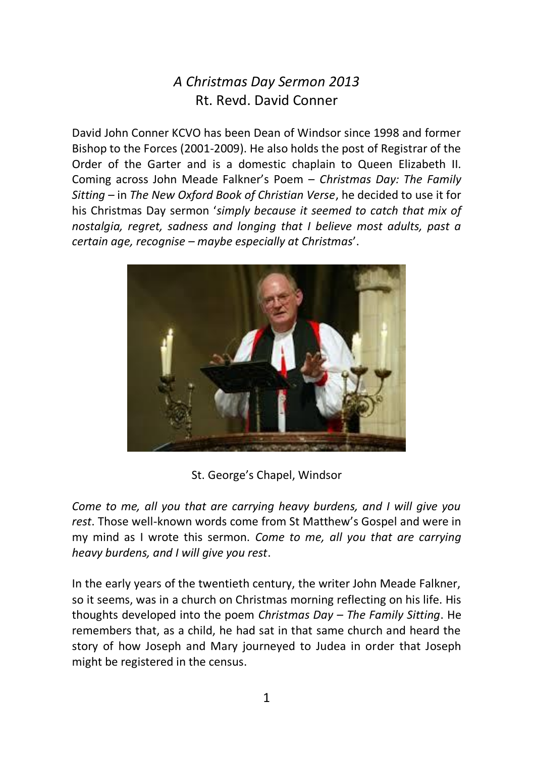## *A Christmas Day Sermon 2013* Rt. Revd. David Conner

David John Conner KCVO has been Dean of Windsor since 1998 and former Bishop to the Forces (2001-2009). He also holds the post of Registrar of the Order of the Garter and is a domestic chaplain to Queen Elizabeth II. Coming across John Meade Falkner's Poem – *Christmas Day: The Family Sitting* – in *The New Oxford Book of Christian Verse*, he decided to use it for his Christmas Day sermon '*simply because it seemed to catch that mix of nostalgia, regret, sadness and longing that I believe most adults, past a certain age, recognise – maybe especially at Christmas*'.



St. George's Chapel, Windsor

*Come to me, all you that are carrying heavy burdens, and I will give you rest*. Those well-known words come from St Matthew's Gospel and were in my mind as I wrote this sermon. *Come to me, all you that are carrying heavy burdens, and I will give you rest*.

In the early years of the twentieth century, the writer John Meade Falkner, so it seems, was in a church on Christmas morning reflecting on his life. His thoughts developed into the poem *Christmas Day – The Family Sitting*. He remembers that, as a child, he had sat in that same church and heard the story of how Joseph and Mary journeyed to Judea in order that Joseph might be registered in the census.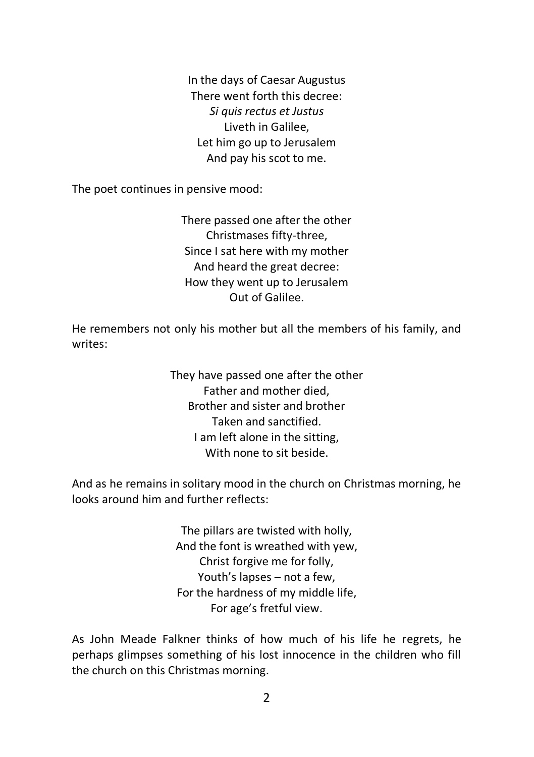In the days of Caesar Augustus There went forth this decree: *Si quis rectus et Justus* Liveth in Galilee, Let him go up to Jerusalem And pay his scot to me.

The poet continues in pensive mood:

There passed one after the other Christmases fifty-three, Since I sat here with my mother And heard the great decree: How they went up to Jerusalem Out of Galilee.

He remembers not only his mother but all the members of his family, and writes:

> They have passed one after the other Father and mother died, Brother and sister and brother Taken and sanctified. I am left alone in the sitting, With none to sit beside.

And as he remains in solitary mood in the church on Christmas morning, he looks around him and further reflects:

> The pillars are twisted with holly, And the font is wreathed with yew, Christ forgive me for folly, Youth's lapses – not a few, For the hardness of my middle life, For age's fretful view.

As John Meade Falkner thinks of how much of his life he regrets, he perhaps glimpses something of his lost innocence in the children who fill the church on this Christmas morning.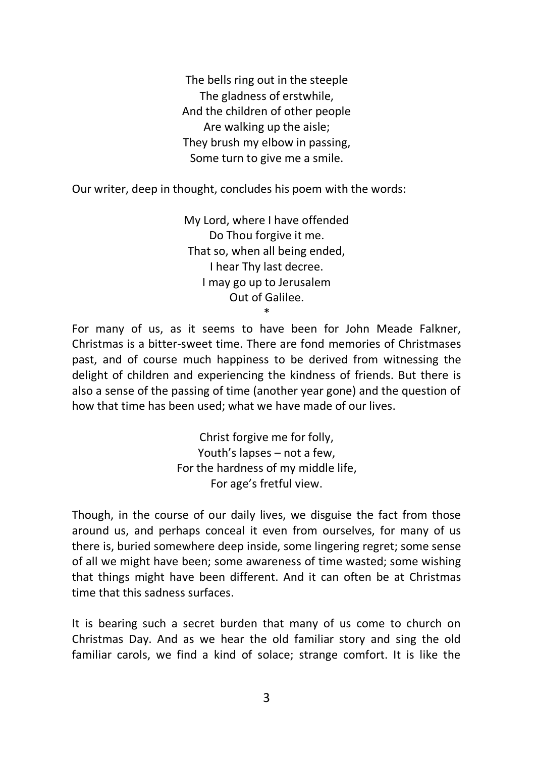The bells ring out in the steeple The gladness of erstwhile, And the children of other people Are walking up the aisle; They brush my elbow in passing, Some turn to give me a smile.

Our writer, deep in thought, concludes his poem with the words:

My Lord, where I have offended Do Thou forgive it me. That so, when all being ended, I hear Thy last decree. I may go up to Jerusalem Out of Galilee.

For many of us, as it seems to have been for John Meade Falkner, Christmas is a bitter-sweet time. There are fond memories of Christmases past, and of course much happiness to be derived from witnessing the delight of children and experiencing the kindness of friends. But there is also a sense of the passing of time (another year gone) and the question of how that time has been used; what we have made of our lives.

\*

Christ forgive me for folly, Youth's lapses – not a few, For the hardness of my middle life, For age's fretful view.

Though, in the course of our daily lives, we disguise the fact from those around us, and perhaps conceal it even from ourselves, for many of us there is, buried somewhere deep inside, some lingering regret; some sense of all we might have been; some awareness of time wasted; some wishing that things might have been different. And it can often be at Christmas time that this sadness surfaces.

It is bearing such a secret burden that many of us come to church on Christmas Day. And as we hear the old familiar story and sing the old familiar carols, we find a kind of solace; strange comfort. It is like the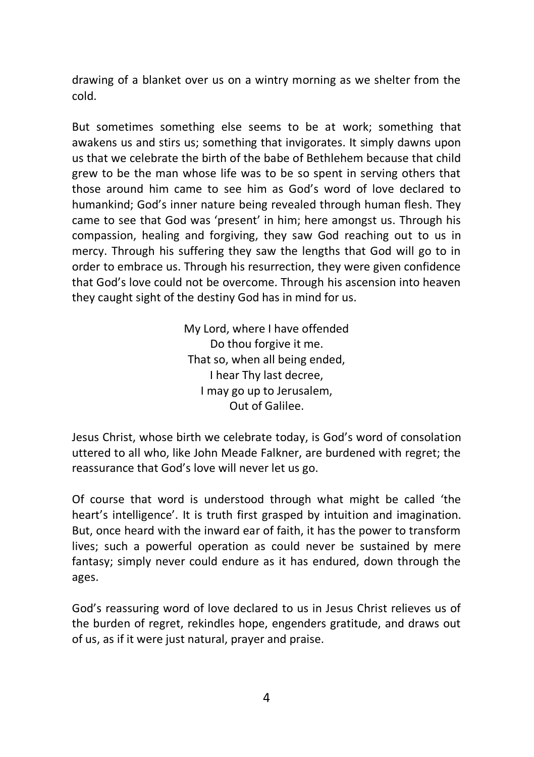drawing of a blanket over us on a wintry morning as we shelter from the cold.

But sometimes something else seems to be at work; something that awakens us and stirs us; something that invigorates. It simply dawns upon us that we celebrate the birth of the babe of Bethlehem because that child grew to be the man whose life was to be so spent in serving others that those around him came to see him as God's word of love declared to humankind; God's inner nature being revealed through human flesh. They came to see that God was 'present' in him; here amongst us. Through his compassion, healing and forgiving, they saw God reaching out to us in mercy. Through his suffering they saw the lengths that God will go to in order to embrace us. Through his resurrection, they were given confidence that God's love could not be overcome. Through his ascension into heaven they caught sight of the destiny God has in mind for us.

> My Lord, where I have offended Do thou forgive it me. That so, when all being ended, I hear Thy last decree, I may go up to Jerusalem, Out of Galilee.

Jesus Christ, whose birth we celebrate today, is God's word of consolation uttered to all who, like John Meade Falkner, are burdened with regret; the reassurance that God's love will never let us go.

Of course that word is understood through what might be called 'the heart's intelligence'. It is truth first grasped by intuition and imagination. But, once heard with the inward ear of faith, it has the power to transform lives; such a powerful operation as could never be sustained by mere fantasy; simply never could endure as it has endured, down through the ages.

God's reassuring word of love declared to us in Jesus Christ relieves us of the burden of regret, rekindles hope, engenders gratitude, and draws out of us, as if it were just natural, prayer and praise.